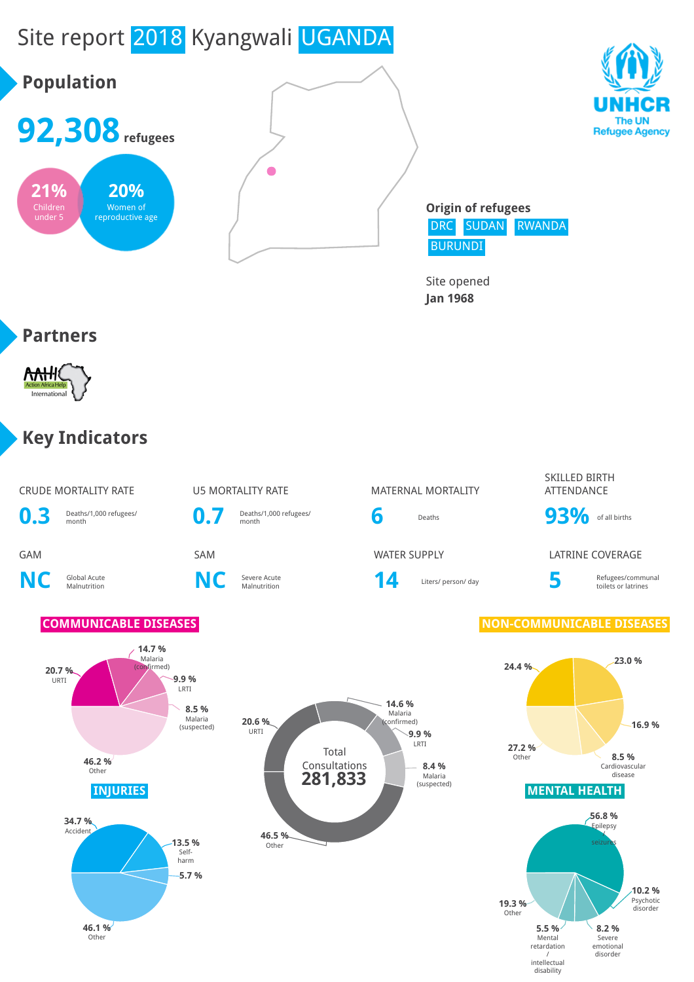# Site report 2018 Kyangwali UGANDA







**Origin of refugees** DRC SUDAN RWANDA BURUNDI

Site opened **Jan 1968**

#### **Partners**



#### **Key Indicators**

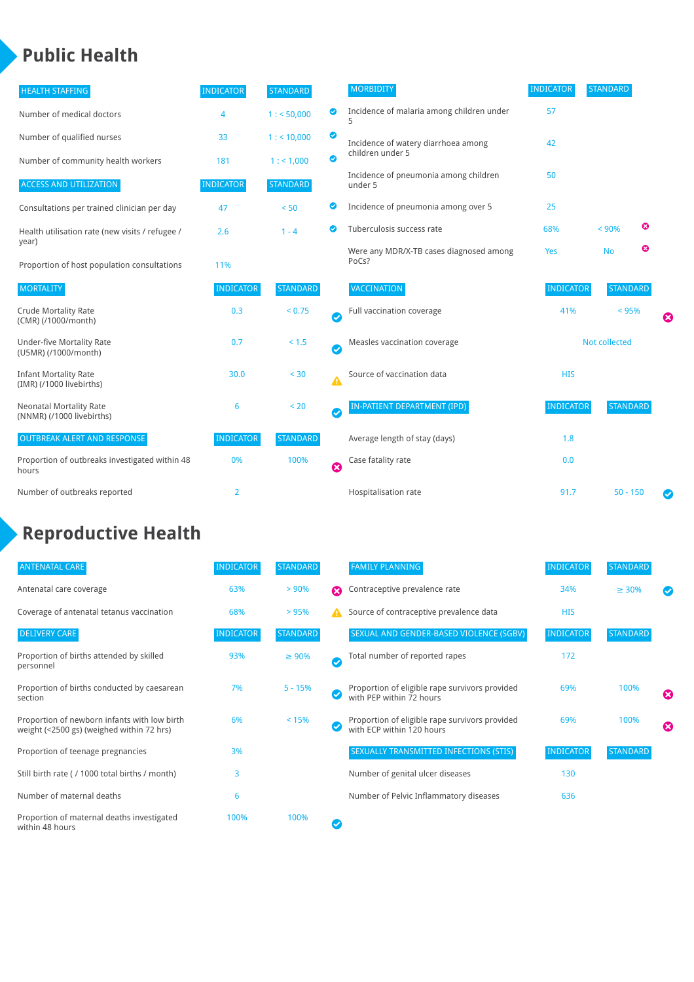## **Public Health**

| <b>HEALTH STAFFING</b>                                      | <b>INDICATOR</b> | <b>STANDARD</b> |           | <b>MORBIDITY</b>                                 | <b>INDICATOR</b> | <b>STANDARD</b> |   |                       |
|-------------------------------------------------------------|------------------|-----------------|-----------|--------------------------------------------------|------------------|-----------------|---|-----------------------|
| Number of medical doctors                                   | 4                | 1: 50,000       | ◉         | Incidence of malaria among children under        | 57               |                 |   |                       |
| Number of qualified nurses                                  | 33               | 1:10,000        | ◉         | Incidence of watery diarrhoea among              | 42               |                 |   |                       |
| Number of community health workers                          | 181              | 1: 1,000        | ◙         | children under 5                                 |                  |                 |   |                       |
| <b>ACCESS AND UTILIZATION</b>                               | <b>INDICATOR</b> | <b>STANDARD</b> |           | Incidence of pneumonia among children<br>under 5 | 50               |                 |   |                       |
| Consultations per trained clinician per day                 | 47               | < 50            | ◕         | Incidence of pneumonia among over 5              | 25               |                 |   |                       |
| Health utilisation rate (new visits / refugee /             | 2.6              | $1 - 4$         | ◙         | Tuberculosis success rate                        | 68%              | < 90%           | ఴ |                       |
| year)<br>Proportion of host population consultations        | 11%              |                 |           | Were any MDR/X-TB cases diagnosed among<br>PoCs? | Yes              | <b>No</b>       | ☺ |                       |
| <b>MORTALITY</b>                                            | <b>INDICATOR</b> | <b>STANDARD</b> |           | VACCINATION                                      | <b>INDICATOR</b> | <b>STANDARD</b> |   |                       |
| <b>Crude Mortality Rate</b><br>(CMR) (/1000/month)          | 0.3              | < 0.75          | Ø         | Full vaccination coverage                        | 41%              | < 95%           |   | ೞ                     |
| <b>Under-five Mortality Rate</b><br>(U5MR) (/1000/month)    | 0.7              | < 1.5           | Ø         | Measles vaccination coverage                     | Not collected    |                 |   |                       |
| <b>Infant Mortality Rate</b><br>(IMR) (/1000 livebirths)    | 30.0             | < 30            | Δ         | Source of vaccination data                       | <b>HIS</b>       |                 |   |                       |
| <b>Neonatal Mortality Rate</b><br>(NNMR) (/1000 livebirths) | 6                | < 20            | $\bullet$ | IN-PATIENT DEPARTMENT (IPD)                      | <b>INDICATOR</b> | <b>STANDARD</b> |   |                       |
| <b>OUTBREAK ALERT AND RESPONSE</b>                          | <b>INDICATOR</b> | <b>STANDARD</b> |           | Average length of stay (days)                    | 1.8              |                 |   |                       |
| Proportion of outbreaks investigated within 48<br>hours     | 0%               | 100%            | Ø         | Case fatality rate                               | 0.0              |                 |   |                       |
| Number of outbreaks reported                                | 2                |                 |           | Hospitalisation rate                             | 91.7             | $50 - 150$      |   | $\boldsymbol{\sigma}$ |

# **Reproductive Health**

| <b>ANTENATAL CARE</b>                                                                     | <b>INDICATOR</b> | <b>STANDARD</b> |                             | <b>FAMILY PLANNING</b>                                                      | <b>INDICATOR</b> | <b>STANDARD</b> |   |
|-------------------------------------------------------------------------------------------|------------------|-----------------|-----------------------------|-----------------------------------------------------------------------------|------------------|-----------------|---|
| Antenatal care coverage                                                                   | 63%              | $> 90\%$        | Ω                           | Contraceptive prevalence rate                                               | 34%              | $\geq 30\%$     |   |
| Coverage of antenatal tetanus vaccination                                                 | 68%              | >95%            |                             | Source of contraceptive prevalence data                                     | <b>HIS</b>       |                 |   |
| <b>DELIVERY CARE</b>                                                                      | <b>INDICATOR</b> | <b>STANDARD</b> |                             | SEXUAL AND GENDER-BASED VIOLENCE (SGBV)                                     | <b>INDICATOR</b> | <b>STANDARD</b> |   |
| Proportion of births attended by skilled<br>personnel                                     | 93%              | $\geq 90\%$     | $\checkmark$                | Total number of reported rapes                                              | 172              |                 |   |
| Proportion of births conducted by caesarean<br>section                                    | 7%               | $5 - 15%$       | $\left( \mathcal{S}\right)$ | Proportion of eligible rape survivors provided<br>with PEP within 72 hours  | 69%              | 100%            | ೞ |
| Proportion of newborn infants with low birth<br>weight (<2500 gs) (weighed within 72 hrs) | 6%               | < 15%           |                             | Proportion of eligible rape survivors provided<br>with ECP within 120 hours | 69%              | 100%            | ☎ |
| Proportion of teenage pregnancies                                                         | 3%               |                 |                             | SEXUALLY TRANSMITTED INFECTIONS (STIS)                                      | <b>INDICATOR</b> | <b>STANDARD</b> |   |
| Still birth rate (/ 1000 total births / month)                                            | 3                |                 |                             | Number of genital ulcer diseases                                            | 130              |                 |   |
| Number of maternal deaths                                                                 | 6                |                 |                             | Number of Pelvic Inflammatory diseases                                      | 636              |                 |   |
| Proportion of maternal deaths investigated<br>within 48 hours                             | 100%             | 100%            |                             |                                                                             |                  |                 |   |